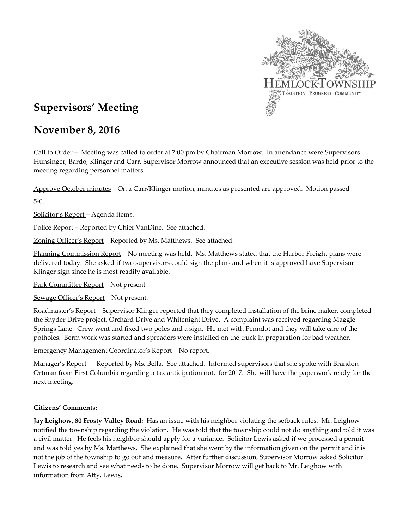

# **Supervisors' Meeting**

## **November 8, 2016**

Call to Order – Meeting was called to order at 7:00 pm by Chairman Morrow. In attendance were Supervisors Hunsinger, Bardo, Klinger and Carr. Supervisor Morrow announced that an executive session was held prior to the meeting regarding personnel matters.

Approve October minutes – On a Carr/Klinger motion, minutes as presented are approved. Motion passed

5-0.

Solicitor's Report – Agenda items.

Police Report - Reported by Chief VanDine. See attached.

Zoning Officer's Report – Reported by Ms. Matthews. See attached.

Planning Commission Report – No meeting was held. Ms. Matthews stated that the Harbor Freight plans were delivered today. She asked if two supervisors could sign the plans and when it is approved have Supervisor Klinger sign since he is most readily available.

Park Committee Report – Not present

Sewage Officer's Report – Not present.

Roadmaster's Report – Supervisor Klinger reported that they completed installation of the brine maker, completed the Snyder Drive project, Orchard Drive and Whitenight Drive. A complaint was received regarding Maggie Springs Lane. Crew went and fixed two poles and a sign. He met with Penndot and they will take care of the potholes. Berm work was started and spreaders were installed on the truck in preparation for bad weather.

Emergency Management Coordinator's Report – No report.

Manager's Report - Reported by Ms. Bella. See attached. Informed supervisors that she spoke with Brandon Ortman from First Columbia regarding a tax anticipation note for 2017. She will have the paperwork ready for the next meeting.

### **Citizens' Comments:**

**Jay Leighow, 80 Frosty Valley Road:** Has an issue with his neighbor violating the setback rules. Mr. Leighow notified the township regarding the violation. He was told that the township could not do anything and told it was a civil matter. He feels his neighbor should apply for a variance. Solicitor Lewis asked if we processed a permit and was told yes by Ms. Matthews. She explained that she went by the information given on the permit and it is not the job of the township to go out and measure. After further discussion, Supervisor Morrow asked Solicitor Lewis to research and see what needs to be done. Supervisor Morrow will get back to Mr. Leighow with information from Atty. Lewis.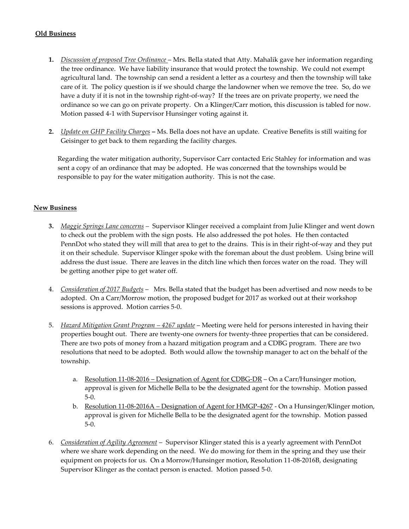#### **Old Business**

- **1.** *Discussion of proposed Tree Ordinance*  Mrs. Bella stated that Atty. Mahalik gave her information regarding the tree ordinance. We have liability insurance that would protect the township. We could not exempt agricultural land. The township can send a resident a letter as a courtesy and then the township will take care of it. The policy question is if we should charge the landowner when we remove the tree. So, do we have a duty if it is not in the township right-of-way? If the trees are on private property, we need the ordinance so we can go on private property. On a Klinger/Carr motion, this discussion is tabled for now. Motion passed 4-1 with Supervisor Hunsinger voting against it.
- **2.** *Update on GHP Facility Charges* **–** Ms. Bella does not have an update. Creative Benefits is still waiting for Geisinger to get back to them regarding the facility charges.

Regarding the water mitigation authority, Supervisor Carr contacted Eric Stahley for information and was sent a copy of an ordinance that may be adopted. He was concerned that the townships would be responsible to pay for the water mitigation authority. This is not the case.

#### **New Business**

- **3.** *Maggie Springs Lane concerns –* Supervisor Klinger received a complaint from Julie Klinger and went down to check out the problem with the sign posts. He also addressed the pot holes. He then contacted PennDot who stated they will mill that area to get to the drains. This is in their right-of-way and they put it on their schedule. Supervisor Klinger spoke with the foreman about the dust problem. Using brine will address the dust issue. There are leaves in the ditch line which then forces water on the road. They will be getting another pipe to get water off.
- 4. *Consideration of 2017 Budgets* Mrs. Bella stated that the budget has been advertised and now needs to be adopted. On a Carr/Morrow motion, the proposed budget for 2017 as worked out at their workshop sessions is approved. Motion carries 5-0.
- 5. *Hazard Mitigation Grant Program – 4267 update* Meeting were held for persons interested in having their properties bought out. There are twenty-one owners for twenty-three properties that can be considered. There are two pots of money from a hazard mitigation program and a CDBG program. There are two resolutions that need to be adopted. Both would allow the township manager to act on the behalf of the township.
	- a. Resolution 11-08-2016 Designation of Agent for CDBG-DR On a Carr/Hunsinger motion, approval is given for Michelle Bella to be the designated agent for the township. Motion passed 5-0.
	- b. Resolution 11-08-2016A Designation of Agent for HMGP-4267 On a Hunsinger/Klinger motion, approval is given for Michelle Bella to be the designated agent for the township. Motion passed 5-0.
- 6. *Consideration of Agility Agreement* Supervisor Klinger stated this is a yearly agreement with PennDot where we share work depending on the need. We do mowing for them in the spring and they use their equipment on projects for us. On a Morrow/Hunsinger motion, Resolution 11-08-2016B, designating Supervisor Klinger as the contact person is enacted. Motion passed 5-0.